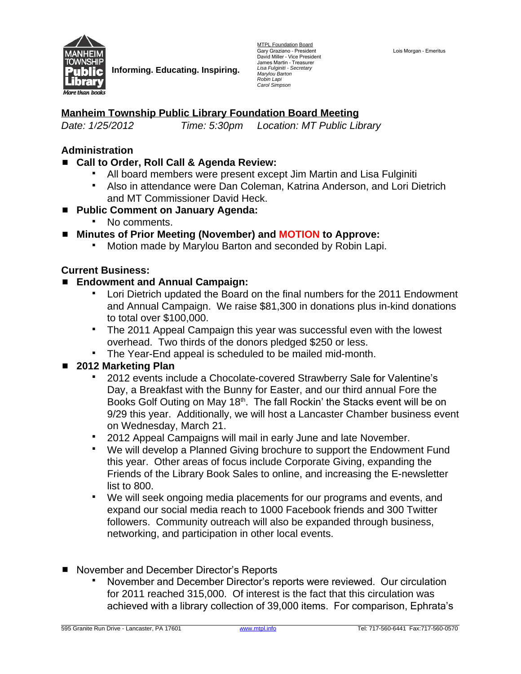

**Informing. Educating. Inspiring.**

MTPL Foundation Board Gary Graziano - President<br>David Miller - Vice President James Martin – Treasurer *Lisa Fulginiti - Secretary Marylou Barton Robin Lapi Carol Simpson*

#### Lois Morgan – Emeritus

## **Manheim Township Public Library Foundation Board Meeting**

*Date: 1/25/2012 Time: 5:30pm Location: MT Public Library*

### **Administration**

- Call to Order, Roll Call & Agenda Review:
	- All board members were present except Jim Martin and Lisa Fulginiti
	- Also in attendance were Dan Coleman, Katrina Anderson, and Lori Dietrich and MT Commissioner David Heck.
- **Public Comment on January Agenda:**
	- No comments.
- **Minutes of Prior Meeting (November) and MOTION to Approve:**<br>■ Motion made by Marylou Barton and seconded by Robin Lan
	- Motion made by Marylou Barton and seconded by Robin Lapi.

#### **Current Business:**

#### **Endowment and Annual Campaign:**

- Lori Dietrich updated the Board on the final numbers for the 2011 Endowment and Annual Campaign. We raise \$81,300 in donations plus in-kind donations to total over \$100,000.
- The 2011 Appeal Campaign this year was successful even with the lowest overhead. Two thirds of the donors pledged \$250 or less.
- The Year-End appeal is scheduled to be mailed mid-month.

## **2012 Marketing Plan**

- 2012 events include a Chocolate-covered Strawberry Sale for Valentine's Day, a Breakfast with the Bunny for Easter, and our third annual Fore the Books Golf Outing on May 18<sup>th</sup>. The fall Rockin' the Stacks event will be on 9/29 this year. Additionally, we will host a Lancaster Chamber business event on Wednesday, March 21.
- 2012 Appeal Campaigns will mail in early June and late November.
- We will develop a Planned Giving brochure to support the Endowment Fund this year. Other areas of focus include Corporate Giving, expanding the Friends of the Library Book Sales to online, and increasing the E-newsletter list to 800.
- We will seek ongoing media placements for our programs and events, and expand our social media reach to 1000 Facebook friends and 300 Twitter followers. Community outreach will also be expanded through business, networking, and participation in other local events.
- November and December Director's Reports
	- November and December Director's reports were reviewed. Our circulation for 2011 reached 315,000. Of interest is the fact that this circulation was achieved with a library collection of 39,000 items. For comparison, Ephrata's